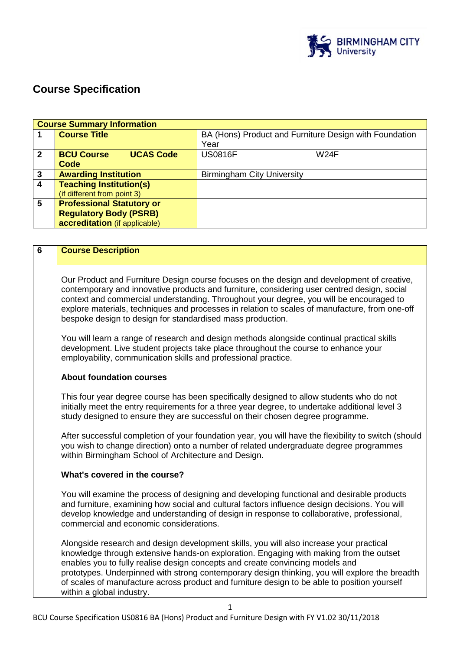

# **Course Specification**

|                | <b>Course Summary Information</b> |                  |                                                                |             |
|----------------|-----------------------------------|------------------|----------------------------------------------------------------|-------------|
|                | <b>Course Title</b>               |                  | BA (Hons) Product and Furniture Design with Foundation<br>Year |             |
|                |                                   |                  |                                                                |             |
| $\overline{2}$ | <b>BCU Course</b>                 | <b>UCAS Code</b> | <b>US0816F</b>                                                 | <b>W24F</b> |
|                | Code                              |                  |                                                                |             |
| $\mathbf{3}$   | <b>Awarding Institution</b>       |                  | <b>Birmingham City University</b>                              |             |
| $\overline{4}$ | <b>Teaching Institution(s)</b>    |                  |                                                                |             |
|                | (if different from point 3)       |                  |                                                                |             |
| $5\phantom{1}$ | <b>Professional Statutory or</b>  |                  |                                                                |             |
|                | <b>Regulatory Body (PSRB)</b>     |                  |                                                                |             |
|                | accreditation (if applicable)     |                  |                                                                |             |

| 6 | <b>Course Description</b>                                                                                                                                                                                                                                                                                                                                                                                                                                                                         |  |
|---|---------------------------------------------------------------------------------------------------------------------------------------------------------------------------------------------------------------------------------------------------------------------------------------------------------------------------------------------------------------------------------------------------------------------------------------------------------------------------------------------------|--|
|   | Our Product and Furniture Design course focuses on the design and development of creative,<br>contemporary and innovative products and furniture, considering user centred design, social<br>context and commercial understanding. Throughout your degree, you will be encouraged to<br>explore materials, techniques and processes in relation to scales of manufacture, from one-off<br>bespoke design to design for standardised mass production.                                              |  |
|   | You will learn a range of research and design methods alongside continual practical skills<br>development. Live student projects take place throughout the course to enhance your<br>employability, communication skills and professional practice.                                                                                                                                                                                                                                               |  |
|   | <b>About foundation courses</b>                                                                                                                                                                                                                                                                                                                                                                                                                                                                   |  |
|   | This four year degree course has been specifically designed to allow students who do not<br>initially meet the entry requirements for a three year degree, to undertake additional level 3<br>study designed to ensure they are successful on their chosen degree programme.                                                                                                                                                                                                                      |  |
|   | After successful completion of your foundation year, you will have the flexibility to switch (should<br>you wish to change direction) onto a number of related undergraduate degree programmes<br>within Birmingham School of Architecture and Design.                                                                                                                                                                                                                                            |  |
|   | What's covered in the course?                                                                                                                                                                                                                                                                                                                                                                                                                                                                     |  |
|   | You will examine the process of designing and developing functional and desirable products<br>and furniture, examining how social and cultural factors influence design decisions. You will<br>develop knowledge and understanding of design in response to collaborative, professional,<br>commercial and economic considerations.                                                                                                                                                               |  |
|   | Alongside research and design development skills, you will also increase your practical<br>knowledge through extensive hands-on exploration. Engaging with making from the outset<br>enables you to fully realise design concepts and create convincing models and<br>prototypes. Underpinned with strong contemporary design thinking, you will explore the breadth<br>of scales of manufacture across product and furniture design to be able to position yourself<br>within a global industry. |  |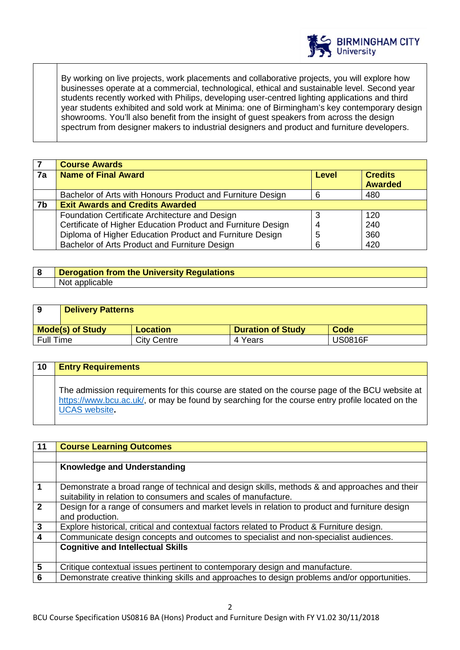

By working on live projects, work placements and collaborative projects, you will explore how businesses operate at a commercial, technological, ethical and sustainable level. Second year students recently worked with Philips, developing user-centred lighting applications and third year students exhibited and sold work at Minima: one of Birmingham's key contemporary design showrooms. You'll also benefit from the insight of guest speakers from across the design spectrum from designer makers to industrial designers and product and furniture developers.

|    | <b>Course Awards</b>                                         |              |                                  |
|----|--------------------------------------------------------------|--------------|----------------------------------|
| 7a | <b>Name of Final Award</b>                                   | <b>Level</b> | <b>Credits</b><br><b>Awarded</b> |
|    | Bachelor of Arts with Honours Product and Furniture Design   |              | 480                              |
| 7b | <b>Exit Awards and Credits Awarded</b>                       |              |                                  |
|    | Foundation Certificate Architecture and Design               |              | 120                              |
|    | Certificate of Higher Education Product and Furniture Design | 4            | 240                              |
|    | Diploma of Higher Education Product and Furniture Design     | 5            | 360                              |
|    | Bachelor of Arts Product and Furniture Design                | 6            | 420                              |

## **8 Derogation from the University Regulations**  Not applicable

| 9                | <b>Delivery Patterns</b> |                    |                          |                |
|------------------|--------------------------|--------------------|--------------------------|----------------|
|                  | <b>Mode(s) of Study</b>  | <b>Location</b>    | <b>Duration of Study</b> | Code           |
| <b>Full Time</b> |                          | <b>City Centre</b> | 4 Years                  | <b>US0816F</b> |

| $\overline{10}$ | <b>Entry Requirements</b>                                                                                                                                                                                                  |
|-----------------|----------------------------------------------------------------------------------------------------------------------------------------------------------------------------------------------------------------------------|
|                 | The admission requirements for this course are stated on the course page of the BCU website at<br>https://www.bcu.ac.uk/, or may be found by searching for the course entry profile located on the<br><b>UCAS</b> website. |

| 11                      | <b>Course Learning Outcomes</b>                                                               |
|-------------------------|-----------------------------------------------------------------------------------------------|
|                         |                                                                                               |
|                         | <b>Knowledge and Understanding</b>                                                            |
|                         |                                                                                               |
| $\mathbf 1$             | Demonstrate a broad range of technical and design skills, methods & and approaches and their  |
|                         | suitability in relation to consumers and scales of manufacture.                               |
| $\overline{2}$          | Design for a range of consumers and market levels in relation to product and furniture design |
|                         | and production.                                                                               |
| $\overline{\mathbf{3}}$ | Explore historical, critical and contextual factors related to Product & Furniture design.    |
| $\overline{\mathbf{4}}$ | Communicate design concepts and outcomes to specialist and non-specialist audiences.          |
|                         | <b>Cognitive and Intellectual Skills</b>                                                      |
|                         |                                                                                               |
| $5\phantom{1}$          | Critique contextual issues pertinent to contemporary design and manufacture.                  |
| $6\phantom{1}6$         | Demonstrate creative thinking skills and approaches to design problems and/or opportunities.  |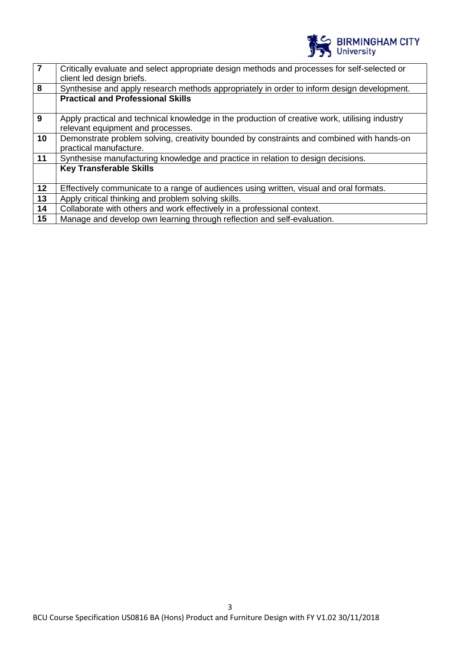

| $\overline{7}$ | Critically evaluate and select appropriate design methods and processes for self-selected or<br>client led design briefs. |
|----------------|---------------------------------------------------------------------------------------------------------------------------|
| 8              | Synthesise and apply research methods appropriately in order to inform design development.                                |
|                | <b>Practical and Professional Skills</b>                                                                                  |
|                |                                                                                                                           |
| 9              | Apply practical and technical knowledge in the production of creative work, utilising industry                            |
|                | relevant equipment and processes.                                                                                         |
| 10             | Demonstrate problem solving, creativity bounded by constraints and combined with hands-on                                 |
|                | practical manufacture.                                                                                                    |
| 11             | Synthesise manufacturing knowledge and practice in relation to design decisions.                                          |
|                | <b>Key Transferable Skills</b>                                                                                            |
|                |                                                                                                                           |
| 12             | Effectively communicate to a range of audiences using written, visual and oral formats.                                   |
| 13             | Apply critical thinking and problem solving skills.                                                                       |
| 14             | Collaborate with others and work effectively in a professional context.                                                   |
| 15             | Manage and develop own learning through reflection and self-evaluation.                                                   |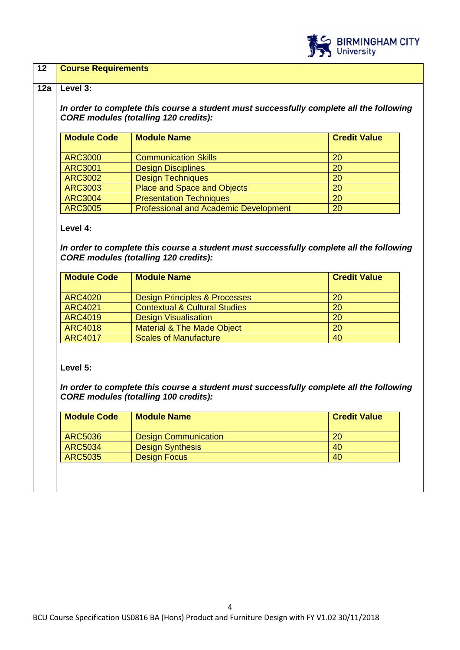

## **12 Course Requirements**

#### **12a Level 3:**

*In order to complete this course a student must successfully complete all the following CORE modules (totalling 120 credits):*

| <b>Module Code</b> | <b>Module Name</b>                           | <b>Credit Value</b> |
|--------------------|----------------------------------------------|---------------------|
|                    |                                              |                     |
| <b>ARC3000</b>     | <b>Communication Skills</b>                  | 20                  |
| <b>ARC3001</b>     | <b>Design Disciplines</b>                    | 20                  |
| <b>ARC3002</b>     | <b>Design Techniques</b>                     | 20                  |
| <b>ARC3003</b>     | Place and Space and Objects                  | 20                  |
| <b>ARC3004</b>     | <b>Presentation Techniques</b>               | 20                  |
| <b>ARC3005</b>     | <b>Professional and Academic Development</b> | 20                  |

#### **Level 4:**

*In order to complete this course a student must successfully complete all the following CORE modules (totalling 120 credits):*

| <b>Module Code</b> | <b>Module Name</b>                       | <b>Credit Value</b> |
|--------------------|------------------------------------------|---------------------|
| <b>ARC4020</b>     | <b>Design Principles &amp; Processes</b> | 20                  |
| <b>ARC4021</b>     | <b>Contextual &amp; Cultural Studies</b> | 20                  |
| <b>ARC4019</b>     | <b>Design Visualisation</b>              | 20                  |
| <b>ARC4018</b>     | <b>Material &amp; The Made Object</b>    | <b>20</b>           |
| <b>ARC4017</b>     | <b>Scales of Manufacture</b>             | 40                  |

**Level 5:**

*In order to complete this course a student must successfully complete all the following CORE modules (totalling 100 credits):*

| <b>Credit Value</b> |
|---------------------|
|                     |
|                     |
|                     |
|                     |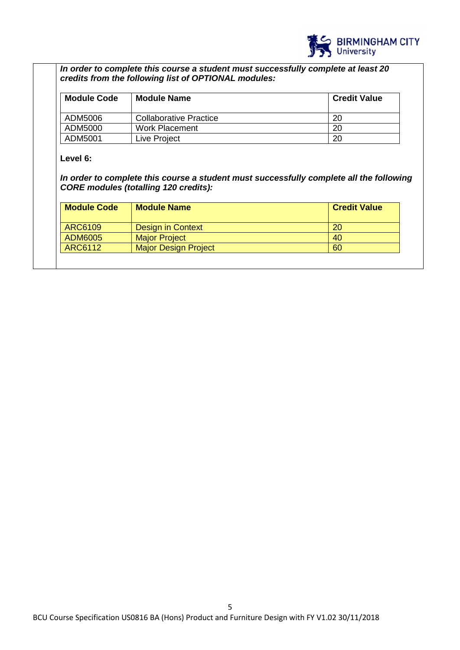

*In order to complete this course a student must successfully complete at least 20 credits from the following list of OPTIONAL modules:*

| <b>Module Code</b> | <b>Module Name</b>            | <b>Credit Value</b> |
|--------------------|-------------------------------|---------------------|
| ADM5006            | <b>Collaborative Practice</b> | 20                  |
| ADM5000            | <b>Work Placement</b>         | 20                  |
| ADM5001            | Live Project                  | 20                  |

## **Level 6:**

*In order to complete this course a student must successfully complete all the following CORE modules (totalling 120 credits):*

| <b>Module Code</b> | <b>Module Name</b>          | <b>Credit Value</b> |
|--------------------|-----------------------------|---------------------|
| ARC6109            | Design in Context           | 20                  |
| ADM6005            | <b>Major Project</b>        | 40                  |
| ARC6112            | <b>Major Design Project</b> | 60                  |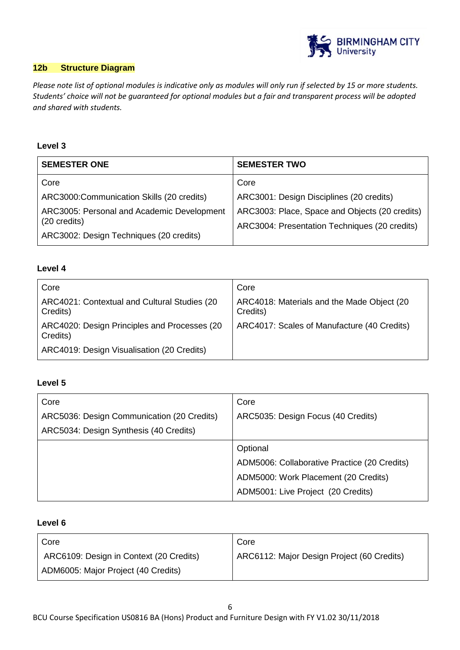

## **12b Structure Diagram**

*Please note list of optional modules is indicative only as modules will only run if selected by 15 or more students. Students' choice will not be guaranteed for optional modules but a fair and transparent process will be adopted and shared with students.*

## **Level 3**

| <b>SEMESTER ONE</b>                                        | <b>SEMESTER TWO</b>                                                                             |
|------------------------------------------------------------|-------------------------------------------------------------------------------------------------|
| Core                                                       | Core                                                                                            |
| ARC3000:Communication Skills (20 credits)                  | ARC3001: Design Disciplines (20 credits)                                                        |
| ARC3005: Personal and Academic Development<br>(20 credits) | ARC3003: Place, Space and Objects (20 credits)<br>ARC3004: Presentation Techniques (20 credits) |
| ARC3002: Design Techniques (20 credits)                    |                                                                                                 |

## **Level 4**

| Core                                                     | Core                                                   |
|----------------------------------------------------------|--------------------------------------------------------|
| ARC4021: Contextual and Cultural Studies (20<br>Credits) | ARC4018: Materials and the Made Object (20<br>Credits) |
| ARC4020: Design Principles and Processes (20<br>Credits) | ARC4017: Scales of Manufacture (40 Credits)            |
| ARC4019: Design Visualisation (20 Credits)               |                                                        |

### **Level 5**

| Core                                       | Core                                         |
|--------------------------------------------|----------------------------------------------|
| ARC5036: Design Communication (20 Credits) | ARC5035: Design Focus (40 Credits)           |
| ARC5034: Design Synthesis (40 Credits)     |                                              |
|                                            | Optional                                     |
|                                            | ADM5006: Collaborative Practice (20 Credits) |
|                                            | ADM5000: Work Placement (20 Credits)         |
|                                            | ADM5001: Live Project (20 Credits)           |

## **Level 6**

| Core                                    | Core                                       |
|-----------------------------------------|--------------------------------------------|
| ARC6109: Design in Context (20 Credits) | ARC6112: Major Design Project (60 Credits) |
| ADM6005: Major Project (40 Credits)     |                                            |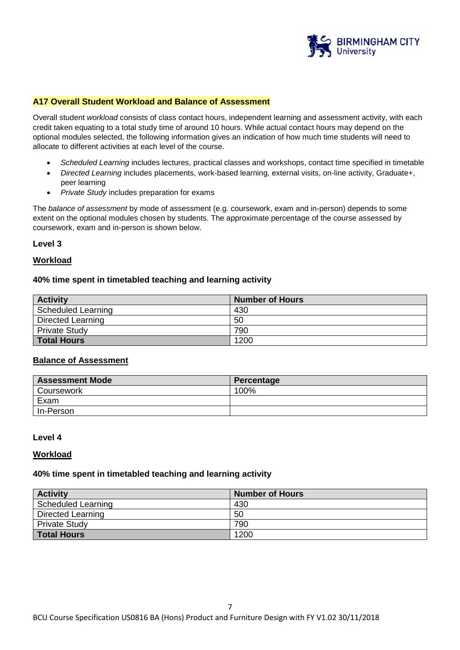

## **A17 Overall Student Workload and Balance of Assessment**

Overall student *workload* consists of class contact hours, independent learning and assessment activity, with each credit taken equating to a total study time of around 10 hours. While actual contact hours may depend on the optional modules selected, the following information gives an indication of how much time students will need to allocate to different activities at each level of the course.

- *Scheduled Learning* includes lectures, practical classes and workshops, contact time specified in timetable
- *Directed Learning* includes placements, work-based learning, external visits, on-line activity, Graduate+, peer learning
- *Private Study* includes preparation for exams

The *balance of assessment* by mode of assessment (e.g. coursework, exam and in-person) depends to some extent on the optional modules chosen by students. The approximate percentage of the course assessed by coursework, exam and in-person is shown below.

#### **Level 3**

### **Workload**

#### **40% time spent in timetabled teaching and learning activity**

| <b>Activity</b>          | <b>Number of Hours</b> |
|--------------------------|------------------------|
| Scheduled Learning       | 430                    |
| <b>Directed Learning</b> | 50                     |
| <b>Private Study</b>     | 790                    |
| <b>Total Hours</b>       | 1200                   |

#### **Balance of Assessment**

| <b>Assessment Mode</b> | Percentage |
|------------------------|------------|
| Coursework             | 100%       |
| Exam                   |            |
| In-Person              |            |

#### **Level 4**

#### **Workload**

#### **40% time spent in timetabled teaching and learning activity**

| <b>Activity</b>          | <b>Number of Hours</b> |
|--------------------------|------------------------|
| Scheduled Learning       | 430                    |
| <b>Directed Learning</b> | 50                     |
| <b>Private Study</b>     | 790                    |
| <b>Total Hours</b>       | 1200                   |